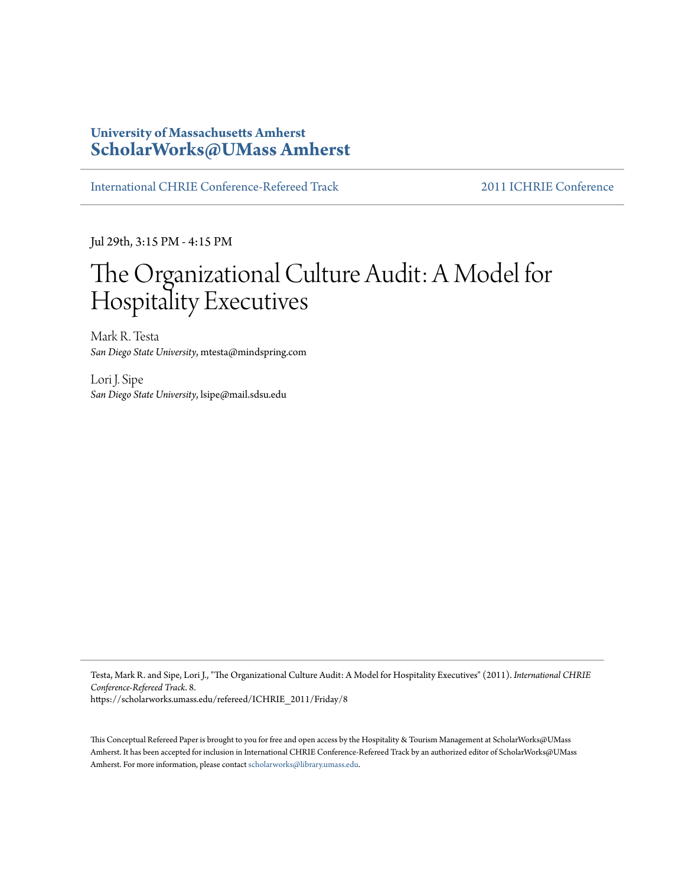## **University of Massachusetts Amherst [ScholarWorks@UMass Amherst](https://scholarworks.umass.edu)**

[International CHRIE Conference-Refereed Track](https://scholarworks.umass.edu/refereed) [2011 ICHRIE Conference](https://scholarworks.umass.edu/refereed/ICHRIE_2011)

Jul 29th, 3:15 PM - 4:15 PM

# The Organizational Culture Audit: A Model for Hospitality Executives

Mark R. Testa *San Diego State University*, mtesta@mindspring.com

Lori J. Sipe *San Diego State University*, lsipe@mail.sdsu.edu

Testa, Mark R. and Sipe, Lori J., "The Organizational Culture Audit: A Model for Hospitality Executives" (2011). *International CHRIE Conference-Refereed Track*. 8. https://scholarworks.umass.edu/refereed/ICHRIE\_2011/Friday/8

This Conceptual Refereed Paper is brought to you for free and open access by the Hospitality & Tourism Management at ScholarWorks@UMass Amherst. It has been accepted for inclusion in International CHRIE Conference-Refereed Track by an authorized editor of ScholarWorks@UMass Amherst. For more information, please contact [scholarworks@library.umass.edu.](mailto:scholarworks@library.umass.edu)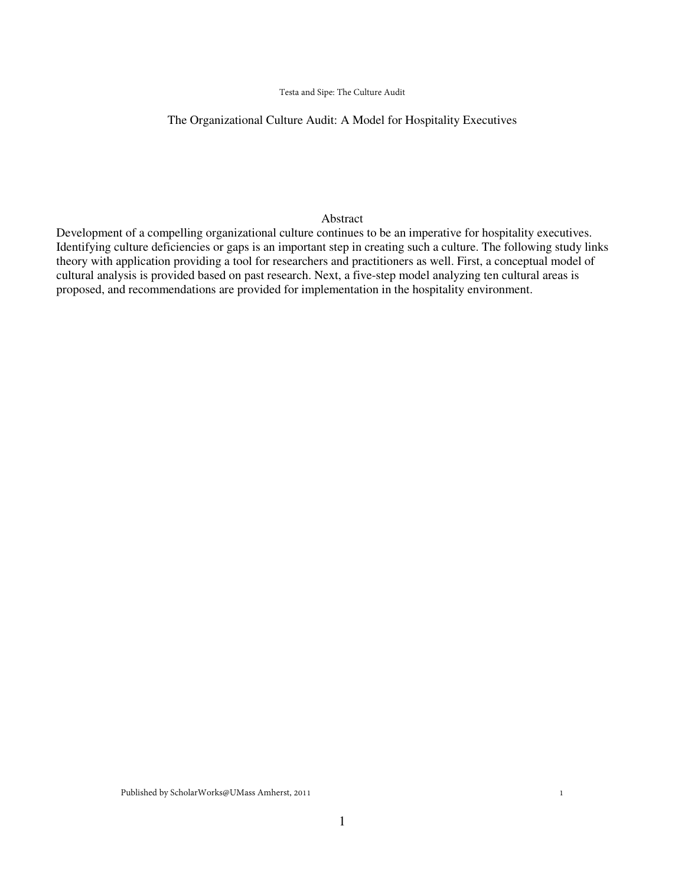#### Testa and Sipe: The Culture Audit

#### The Organizational Culture Audit: A Model for Hospitality Executives

#### Abstract

Development of a compelling organizational culture continues to be an imperative for hospitality executives. Identifying culture deficiencies or gaps is an important step in creating such a culture. The following study links theory with application providing a tool for researchers and practitioners as well. First, a conceptual model of cultural analysis is provided based on past research. Next, a five-step model analyzing ten cultural areas is proposed, and recommendations are provided for implementation in the hospitality environment.

Published by ScholarWorks@UMass Amherst, 2011

1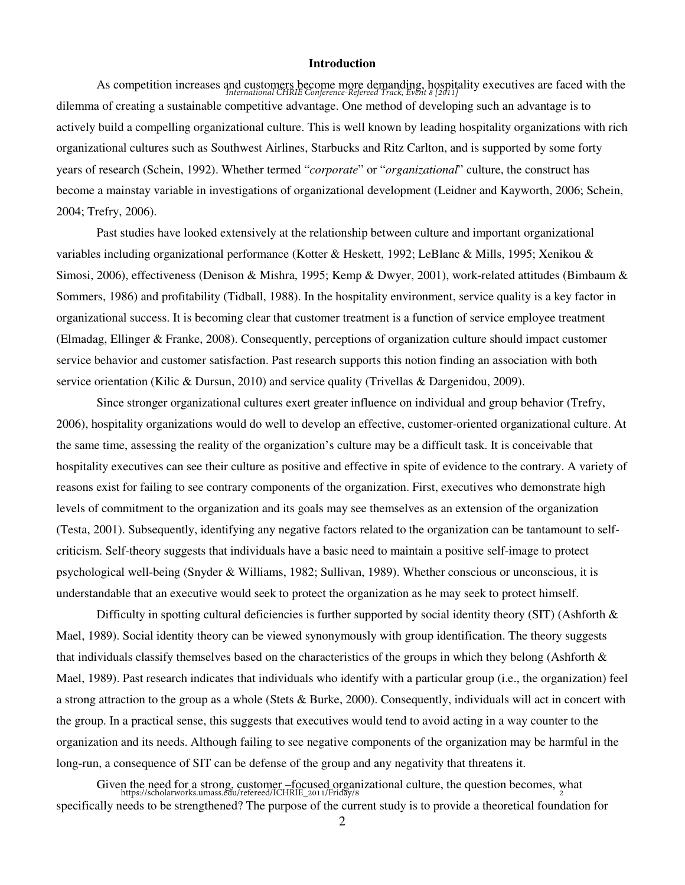#### **Introduction**

As competition increases and customers become more demanding, hospitality executives are faced with the *International CHRIE Conference-Refereed Track, Event 8 [2011]* dilemma of creating a sustainable competitive advantage. One method of developing such an advantage is to actively build a compelling organizational culture. This is well known by leading hospitality organizations with rich organizational cultures such as Southwest Airlines, Starbucks and Ritz Carlton, and is supported by some forty years of research (Schein, 1992). Whether termed "*corporate*" or "*organizational*" culture, the construct has become a mainstay variable in investigations of organizational development (Leidner and Kayworth, 2006; Schein, 2004; Trefry, 2006).

Past studies have looked extensively at the relationship between culture and important organizational variables including organizational performance (Kotter & Heskett, 1992; LeBlanc & Mills, 1995; Xenikou & Simosi, 2006), effectiveness (Denison & Mishra, 1995; Kemp & Dwyer, 2001), work-related attitudes (Bimbaum & Sommers, 1986) and profitability (Tidball, 1988). In the hospitality environment, service quality is a key factor in organizational success. It is becoming clear that customer treatment is a function of service employee treatment (Elmadag, Ellinger & Franke, 2008). Consequently, perceptions of organization culture should impact customer service behavior and customer satisfaction. Past research supports this notion finding an association with both service orientation (Kilic & Dursun, 2010) and service quality (Trivellas & Dargenidou, 2009).

 Since stronger organizational cultures exert greater influence on individual and group behavior (Trefry, 2006), hospitality organizations would do well to develop an effective, customer-oriented organizational culture. At the same time, assessing the reality of the organization's culture may be a difficult task. It is conceivable that hospitality executives can see their culture as positive and effective in spite of evidence to the contrary. A variety of reasons exist for failing to see contrary components of the organization. First, executives who demonstrate high levels of commitment to the organization and its goals may see themselves as an extension of the organization (Testa, 2001). Subsequently, identifying any negative factors related to the organization can be tantamount to selfcriticism. Self-theory suggests that individuals have a basic need to maintain a positive self-image to protect psychological well-being (Snyder & Williams, 1982; Sullivan, 1989). Whether conscious or unconscious, it is understandable that an executive would seek to protect the organization as he may seek to protect himself.

Difficulty in spotting cultural deficiencies is further supported by social identity theory (SIT) (Ashforth  $\&$ Mael, 1989). Social identity theory can be viewed synonymously with group identification. The theory suggests that individuals classify themselves based on the characteristics of the groups in which they belong (Ashforth  $\&$ Mael, 1989). Past research indicates that individuals who identify with a particular group (i.e., the organization) feel a strong attraction to the group as a whole (Stets & Burke, 2000). Consequently, individuals will act in concert with the group. In a practical sense, this suggests that executives would tend to avoid acting in a way counter to the organization and its needs. Although failing to see negative components of the organization may be harmful in the long-run, a consequence of SIT can be defense of the group and any negativity that threatens it.

Given the need for a strong, customer –focused organizational culture, the question becomes, what https://scholarworks.umass.edu/refereed/ICHRIE\_2011/Friday/8 specifically needs to be strengthened? The purpose of the current study is to provide a theoretical foundation for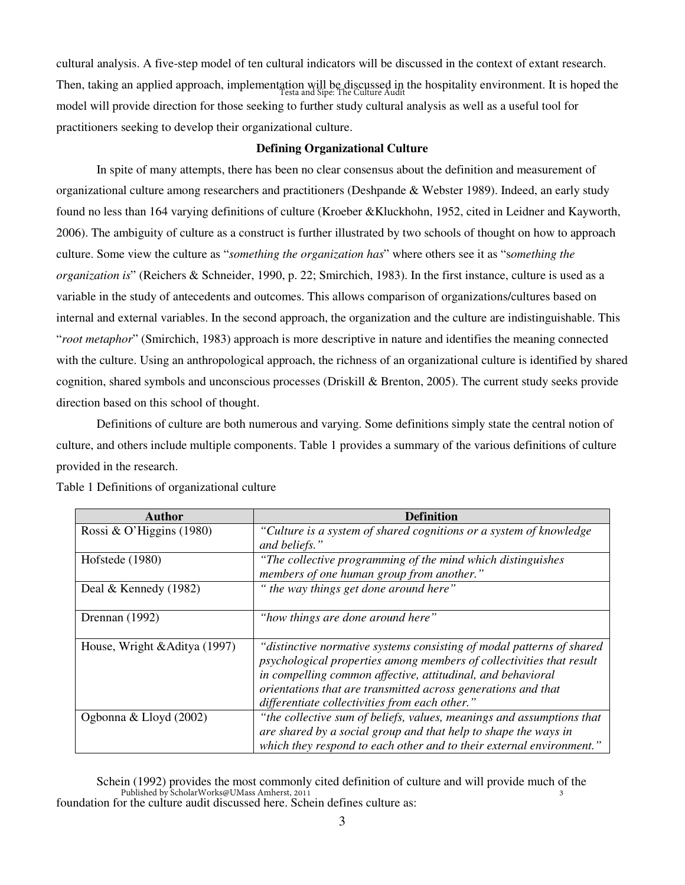cultural analysis. A five-step model of ten cultural indicators will be discussed in the context of extant research. Then, taking an applied approach, implementation will be discussed in the hospitality environment. It is hoped the Testa and Sipe: The Culture Audit model will provide direction for those seeking to further study cultural analysis as well as a useful tool for practitioners seeking to develop their organizational culture.

#### **Defining Organizational Culture**

In spite of many attempts, there has been no clear consensus about the definition and measurement of organizational culture among researchers and practitioners (Deshpande & Webster 1989). Indeed, an early study found no less than 164 varying definitions of culture (Kroeber &Kluckhohn, 1952, cited in Leidner and Kayworth, 2006). The ambiguity of culture as a construct is further illustrated by two schools of thought on how to approach culture. Some view the culture as "*something the organization has*" where others see it as "s*omething the organization is*" (Reichers & Schneider, 1990, p. 22; Smirchich, 1983). In the first instance, culture is used as a variable in the study of antecedents and outcomes. This allows comparison of organizations/cultures based on internal and external variables. In the second approach, the organization and the culture are indistinguishable. This "*root metaphor*" (Smirchich, 1983) approach is more descriptive in nature and identifies the meaning connected with the culture. Using an anthropological approach, the richness of an organizational culture is identified by shared cognition, shared symbols and unconscious processes (Driskill & Brenton, 2005). The current study seeks provide direction based on this school of thought.

Definitions of culture are both numerous and varying. Some definitions simply state the central notion of culture, and others include multiple components. Table 1 provides a summary of the various definitions of culture provided in the research.

| Author                        | <b>Definition</b>                                                     |  |
|-------------------------------|-----------------------------------------------------------------------|--|
| Rossi & O'Higgins (1980)      | "Culture is a system of shared cognitions or a system of knowledge    |  |
|                               | and beliefs."                                                         |  |
| Hofstede (1980)               | "The collective programming of the mind which distinguishes"          |  |
|                               | members of one human group from another."                             |  |
| Deal & Kennedy $(1982)$       | " the way things get done around here"                                |  |
|                               |                                                                       |  |
| Drennan (1992)                | "how things are done around here"                                     |  |
|                               |                                                                       |  |
| House, Wright & Aditya (1997) | "distinctive normative systems consisting of modal patterns of shared |  |
|                               | psychological properties among members of collectivities that result  |  |
|                               | in compelling common affective, attitudinal, and behavioral           |  |
|                               | orientations that are transmitted across generations and that         |  |
|                               | differentiate collectivities from each other."                        |  |
| Ogbonna & Lloyd (2002)        | "the collective sum of beliefs, values, meanings and assumptions that |  |
|                               | are shared by a social group and that help to shape the ways in       |  |
|                               | which they respond to each other and to their external environment."  |  |

Table 1 Definitions of organizational culture

Schein (1992) provides the most commonly cited definition of culture and will provide much of the foundation for the culture audit discussed here. Schein defines culture as: 3 Published by ScholarWorks@UMass Amherst, 2011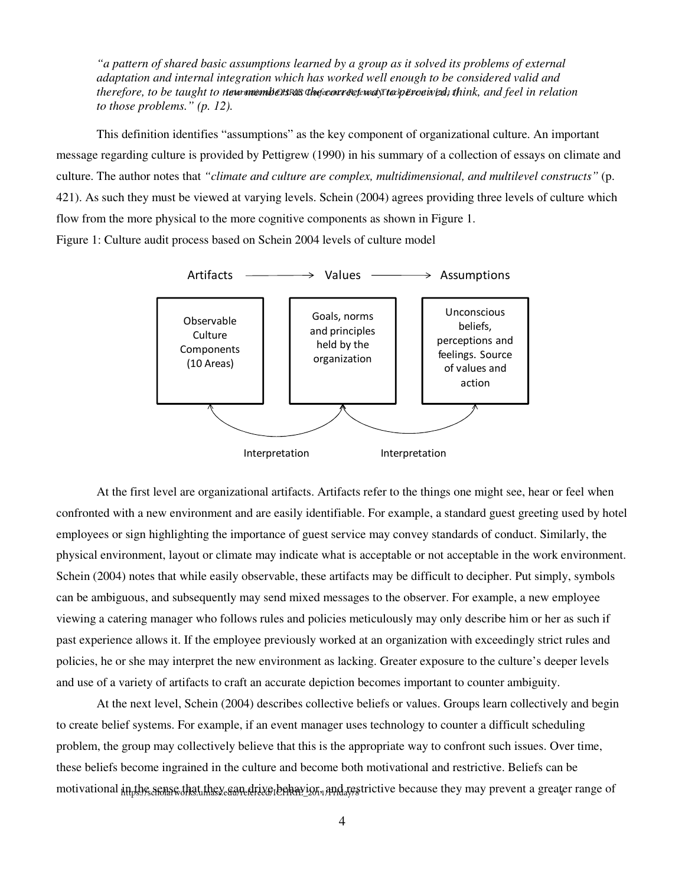*"a pattern of shared basic assumptions learned by a group as it solved its problems of external adaptation and internal integration which has worked well enough to be considered valid and*  therefore, to be taught to n**ew members as the correc**t way to perceived, think, and feel in relation *to those problems." (p. 12).* 

This definition identifies "assumptions" as the key component of organizational culture. An important message regarding culture is provided by Pettigrew (1990) in his summary of a collection of essays on climate and culture. The author notes that *"climate and culture are complex, multidimensional, and multilevel constructs"* (p. 421). As such they must be viewed at varying levels. Schein (2004) agrees providing three levels of culture which flow from the more physical to the more cognitive components as shown in Figure 1. Figure 1: Culture audit process based on Schein 2004 levels of culture model



At the first level are organizational artifacts. Artifacts refer to the things one might see, hear or feel when confronted with a new environment and are easily identifiable. For example, a standard guest greeting used by hotel employees or sign highlighting the importance of guest service may convey standards of conduct. Similarly, the physical environment, layout or climate may indicate what is acceptable or not acceptable in the work environment. Schein (2004) notes that while easily observable, these artifacts may be difficult to decipher. Put simply, symbols can be ambiguous, and subsequently may send mixed messages to the observer. For example, a new employee viewing a catering manager who follows rules and policies meticulously may only describe him or her as such if past experience allows it. If the employee previously worked at an organization with exceedingly strict rules and policies, he or she may interpret the new environment as lacking. Greater exposure to the culture's deeper levels and use of a variety of artifacts to craft an accurate depiction becomes important to counter ambiguity.

At the next level, Schein (2004) describes collective beliefs or values. Groups learn collectively and begin to create belief systems. For example, if an event manager uses technology to counter a difficult scheduling problem, the group may collectively believe that this is the appropriate way to confront such issues. Over time, these beliefs become ingrained in the culture and become both motivational and restrictive. Beliefs can be motivational in the sense that they can drive behavior, and restrictive because they may prevent a greater range of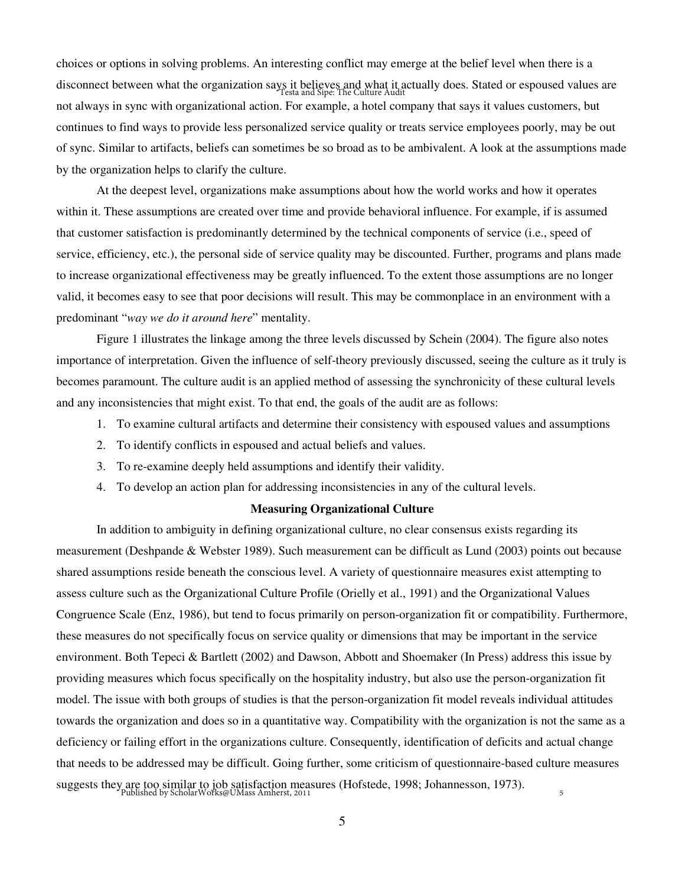choices or options in solving problems. An interesting conflict may emerge at the belief level when there is a disconnect between what the organization says it believes and what it actually does. Stated or espoused values are Testa and Sipe: The Culture Audit not always in sync with organizational action. For example, a hotel company that says it values customers, but continues to find ways to provide less personalized service quality or treats service employees poorly, may be out of sync. Similar to artifacts, beliefs can sometimes be so broad as to be ambivalent. A look at the assumptions made by the organization helps to clarify the culture.

At the deepest level, organizations make assumptions about how the world works and how it operates within it. These assumptions are created over time and provide behavioral influence. For example, if is assumed that customer satisfaction is predominantly determined by the technical components of service (i.e., speed of service, efficiency, etc.), the personal side of service quality may be discounted. Further, programs and plans made to increase organizational effectiveness may be greatly influenced. To the extent those assumptions are no longer valid, it becomes easy to see that poor decisions will result. This may be commonplace in an environment with a predominant "*way we do it around here*" mentality.

Figure 1 illustrates the linkage among the three levels discussed by Schein (2004). The figure also notes importance of interpretation. Given the influence of self-theory previously discussed, seeing the culture as it truly is becomes paramount. The culture audit is an applied method of assessing the synchronicity of these cultural levels and any inconsistencies that might exist. To that end, the goals of the audit are as follows:

- 1. To examine cultural artifacts and determine their consistency with espoused values and assumptions
- 2. To identify conflicts in espoused and actual beliefs and values.
- 3. To re-examine deeply held assumptions and identify their validity.
- 4. To develop an action plan for addressing inconsistencies in any of the cultural levels.

#### **Measuring Organizational Culture**

 In addition to ambiguity in defining organizational culture, no clear consensus exists regarding its measurement (Deshpande & Webster 1989). Such measurement can be difficult as Lund (2003) points out because shared assumptions reside beneath the conscious level. A variety of questionnaire measures exist attempting to assess culture such as the Organizational Culture Profile (Orielly et al., 1991) and the Organizational Values Congruence Scale (Enz, 1986), but tend to focus primarily on person-organization fit or compatibility. Furthermore, these measures do not specifically focus on service quality or dimensions that may be important in the service environment. Both Tepeci & Bartlett (2002) and Dawson, Abbott and Shoemaker (In Press) address this issue by providing measures which focus specifically on the hospitality industry, but also use the person-organization fit model. The issue with both groups of studies is that the person-organization fit model reveals individual attitudes towards the organization and does so in a quantitative way. Compatibility with the organization is not the same as a deficiency or failing effort in the organizations culture. Consequently, identification of deficits and actual change that needs to be addressed may be difficult. Going further, some criticism of questionnaire-based culture measures suggests they are too similar to job satisfaction measures (Hofstede, 1998; Johannesson, 1973). Published by ScholarWorks@UMass Amherst, 20115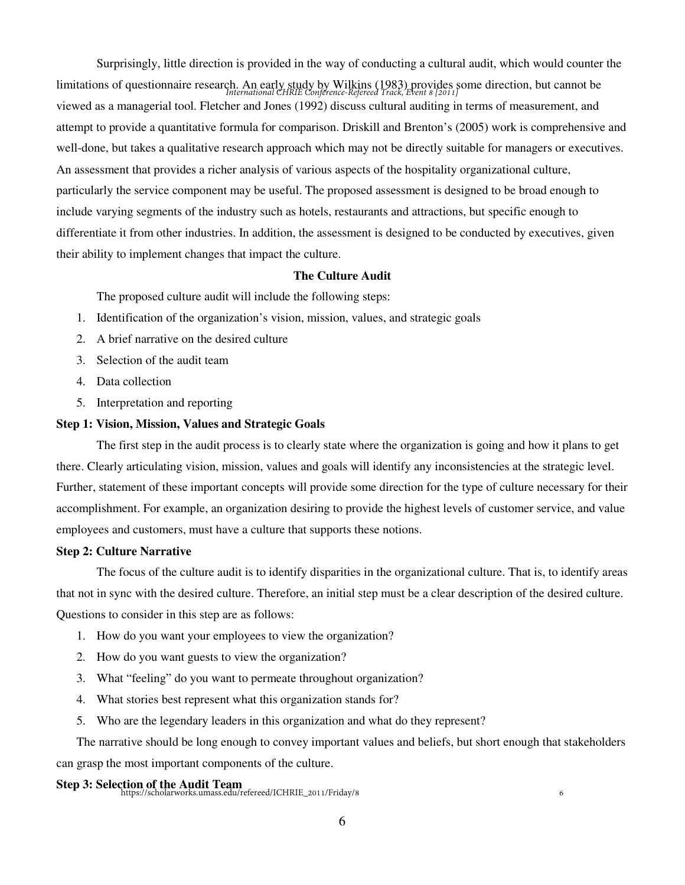Surprisingly, little direction is provided in the way of conducting a cultural audit, which would counter the limitations of questionnaire research. An early study by Wilkins (1983) provides some direction, but cannot be *International CHRIE Conference-Refereed Track, Event 8 [2011]* viewed as a managerial tool. Fletcher and Jones (1992) discuss cultural auditing in terms of measurement, and attempt to provide a quantitative formula for comparison. Driskill and Brenton's (2005) work is comprehensive and well-done, but takes a qualitative research approach which may not be directly suitable for managers or executives. An assessment that provides a richer analysis of various aspects of the hospitality organizational culture, particularly the service component may be useful. The proposed assessment is designed to be broad enough to include varying segments of the industry such as hotels, restaurants and attractions, but specific enough to differentiate it from other industries. In addition, the assessment is designed to be conducted by executives, given their ability to implement changes that impact the culture.

#### **The Culture Audit**

The proposed culture audit will include the following steps:

- 1. Identification of the organization's vision, mission, values, and strategic goals
- 2. A brief narrative on the desired culture
- 3. Selection of the audit team
- 4. Data collection
- 5. Interpretation and reporting

### **Step 1: Vision, Mission, Values and Strategic Goals**

 The first step in the audit process is to clearly state where the organization is going and how it plans to get there. Clearly articulating vision, mission, values and goals will identify any inconsistencies at the strategic level. Further, statement of these important concepts will provide some direction for the type of culture necessary for their accomplishment. For example, an organization desiring to provide the highest levels of customer service, and value employees and customers, must have a culture that supports these notions.

#### **Step 2: Culture Narrative**

 The focus of the culture audit is to identify disparities in the organizational culture. That is, to identify areas that not in sync with the desired culture. Therefore, an initial step must be a clear description of the desired culture. Questions to consider in this step are as follows:

- 1. How do you want your employees to view the organization?
- 2. How do you want guests to view the organization?
- 3. What "feeling" do you want to permeate throughout organization?
- 4. What stories best represent what this organization stands for?
- 5. Who are the legendary leaders in this organization and what do they represent?

The narrative should be long enough to convey important values and beliefs, but short enough that stakeholders can grasp the most important components of the culture.

Step 3: Selection of the Audit Team<br>
https://scholarworks.umass.edu/refereed/ICHRIE\_2011/Friday/8

6

6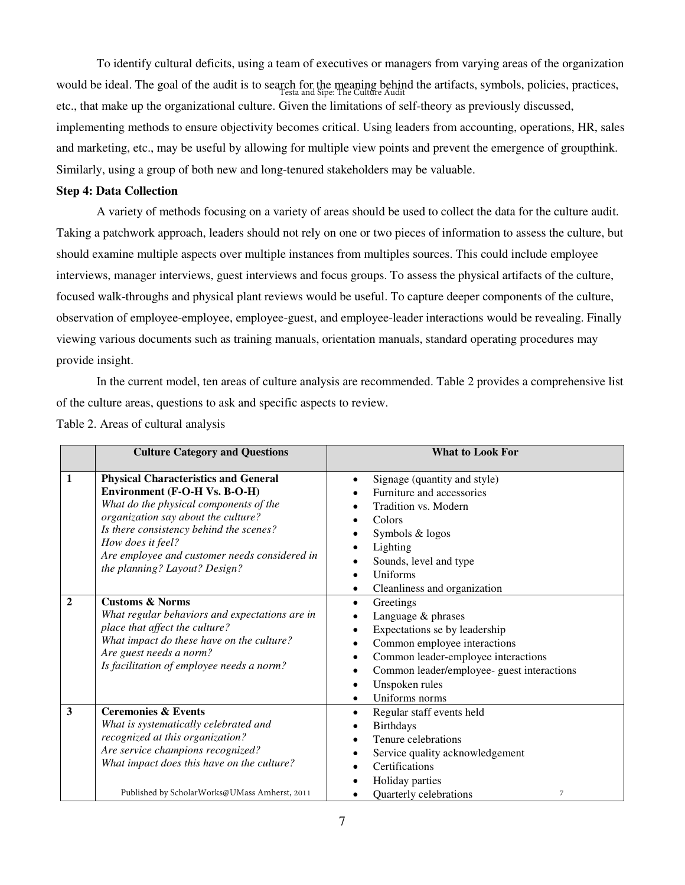To identify cultural deficits, using a team of executives or managers from varying areas of the organization would be ideal. The goal of the audit is to search for the meaning behind the artifacts, symbols, policies, practices, Testa and Sipe: The Culture Audit etc., that make up the organizational culture. Given the limitations of self-theory as previously discussed, implementing methods to ensure objectivity becomes critical. Using leaders from accounting, operations, HR, sales and marketing, etc., may be useful by allowing for multiple view points and prevent the emergence of groupthink. Similarly, using a group of both new and long-tenured stakeholders may be valuable.

#### **Step 4: Data Collection**

 A variety of methods focusing on a variety of areas should be used to collect the data for the culture audit. Taking a patchwork approach, leaders should not rely on one or two pieces of information to assess the culture, but should examine multiple aspects over multiple instances from multiples sources. This could include employee interviews, manager interviews, guest interviews and focus groups. To assess the physical artifacts of the culture, focused walk-throughs and physical plant reviews would be useful. To capture deeper components of the culture, observation of employee-employee, employee-guest, and employee-leader interactions would be revealing. Finally viewing various documents such as training manuals, orientation manuals, standard operating procedures may provide insight.

In the current model, ten areas of culture analysis are recommended. Table 2 provides a comprehensive list of the culture areas, questions to ask and specific aspects to review.

|              | <b>Culture Category and Questions</b>                                                                                                                                                                                                                                                                           | <b>What to Look For</b>                                                                                                                                                                                                                                                                 |  |
|--------------|-----------------------------------------------------------------------------------------------------------------------------------------------------------------------------------------------------------------------------------------------------------------------------------------------------------------|-----------------------------------------------------------------------------------------------------------------------------------------------------------------------------------------------------------------------------------------------------------------------------------------|--|
| 1            | <b>Physical Characteristics and General</b><br>Environment (F-O-H Vs. B-O-H)<br>What do the physical components of the<br>organization say about the culture?<br>Is there consistency behind the scenes?<br>How does it feel?<br>Are employee and customer needs considered in<br>the planning? Layout? Design? | Signage (quantity and style)<br>٠<br>Furniture and accessories<br>Tradition vs. Modern<br>Colors<br>Symbols & logos<br>٠<br>Lighting<br>$\bullet$<br>Sounds, level and type<br>$\bullet$<br>Uniforms<br>Cleanliness and organization<br>٠                                               |  |
| $\mathbf{2}$ | <b>Customs &amp; Norms</b><br>What regular behaviors and expectations are in<br>place that affect the culture?<br>What impact do these have on the culture?<br>Are guest needs a norm?<br>Is facilitation of employee needs a norm?                                                                             | Greetings<br>$\bullet$<br>Language & phrases<br>Expectations se by leadership<br>$\bullet$<br>Common employee interactions<br>Common leader-employee interactions<br>٠<br>Common leader/employee- guest interactions<br>٠<br>Unspoken rules<br>$\bullet$<br>Uniforms norms<br>$\bullet$ |  |
| 3            | <b>Ceremonies &amp; Events</b><br>What is systematically celebrated and<br>recognized at this organization?<br>Are service champions recognized?<br>What impact does this have on the culture?<br>Published by ScholarWorks@UMass Amherst, 2011                                                                 | Regular staff events held<br>$\bullet$<br><b>Birthdays</b><br>Tenure celebrations<br>٠<br>Service quality acknowledgement<br>٠<br>Certifications<br>$\bullet$<br>Holiday parties<br>Quarterly celebrations<br>7                                                                         |  |

Table 2. Areas of cultural analysis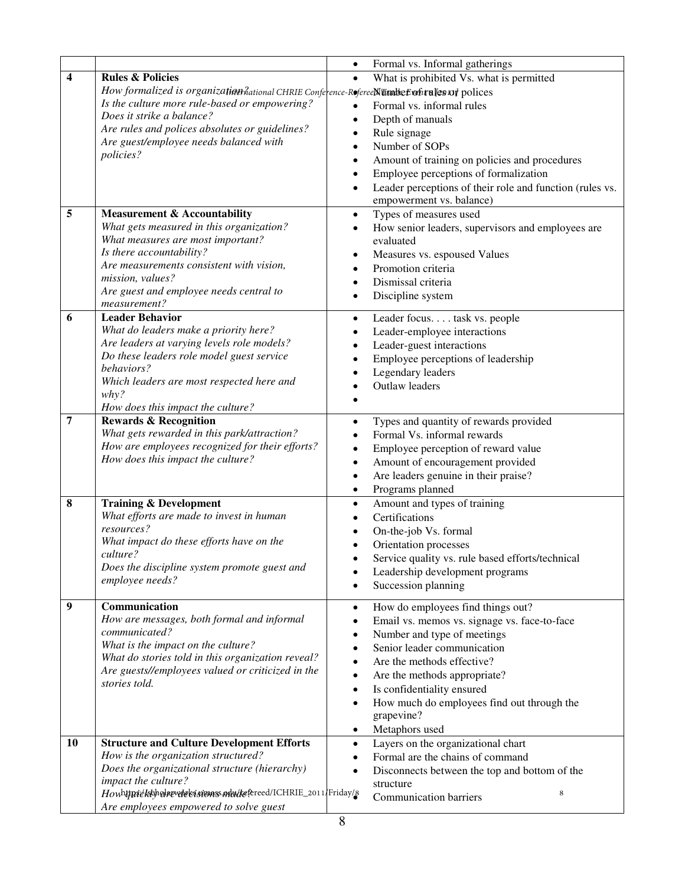|                         |                                                                                             | Formal vs. Informal gatherings<br>$\bullet$                           |  |  |
|-------------------------|---------------------------------------------------------------------------------------------|-----------------------------------------------------------------------|--|--|
| $\overline{\mathbf{4}}$ | <b>Rules &amp; Policies</b>                                                                 | What is prohibited Vs. what is permitted<br>$\bullet$                 |  |  |
|                         | How formalized is organization hational CHRIE Conference-Referee Number of rules of polices |                                                                       |  |  |
|                         | Is the culture more rule-based or empowering?                                               | Formal vs. informal rules<br>$\bullet$                                |  |  |
|                         | Does it strike a balance?                                                                   | $\bullet$                                                             |  |  |
|                         | Are rules and polices absolutes or guidelines?                                              | Depth of manuals                                                      |  |  |
|                         | Are guest/employee needs balanced with                                                      | Rule signage<br>$\bullet$<br>Number of SOPs                           |  |  |
|                         | policies?                                                                                   | $\bullet$                                                             |  |  |
|                         |                                                                                             | Amount of training on policies and procedures<br>$\bullet$            |  |  |
|                         |                                                                                             | Employee perceptions of formalization<br>$\bullet$                    |  |  |
|                         |                                                                                             | Leader perceptions of their role and function (rules vs.<br>$\bullet$ |  |  |
|                         |                                                                                             | empowerment vs. balance)                                              |  |  |
| 5                       | <b>Measurement &amp; Accountability</b>                                                     | Types of measures used<br>$\bullet$                                   |  |  |
|                         | What gets measured in this organization?                                                    | How senior leaders, supervisors and employees are<br>$\bullet$        |  |  |
|                         | What measures are most important?                                                           | evaluated                                                             |  |  |
|                         | Is there accountability?<br>Are measurements consistent with vision,                        | Measures vs. espoused Values<br>٠                                     |  |  |
|                         | mission, values?                                                                            | Promotion criteria<br>$\bullet$                                       |  |  |
|                         | Are guest and employee needs central to                                                     | Dismissal criteria<br>$\bullet$                                       |  |  |
|                         | measurement?                                                                                | Discipline system<br>$\bullet$                                        |  |  |
| 6                       | <b>Leader Behavior</b>                                                                      | Leader focus task vs. people<br>$\bullet$                             |  |  |
|                         | What do leaders make a priority here?                                                       | Leader-employee interactions<br>$\bullet$                             |  |  |
|                         | Are leaders at varying levels role models?                                                  | Leader-guest interactions<br>$\bullet$                                |  |  |
|                         | Do these leaders role model guest service                                                   | Employee perceptions of leadership<br>$\bullet$                       |  |  |
|                         | behaviors?                                                                                  | Legendary leaders                                                     |  |  |
|                         | Which leaders are most respected here and                                                   | <b>Outlaw leaders</b>                                                 |  |  |
|                         | why?                                                                                        |                                                                       |  |  |
|                         | How does this impact the culture?                                                           |                                                                       |  |  |
| 7                       | <b>Rewards &amp; Recognition</b>                                                            | Types and quantity of rewards provided<br>$\bullet$                   |  |  |
|                         | What gets rewarded in this park/attraction?                                                 | Formal Vs. informal rewards<br>$\bullet$                              |  |  |
|                         | How are employees recognized for their efforts?                                             | Employee perception of reward value<br>$\bullet$                      |  |  |
|                         | How does this impact the culture?                                                           | Amount of encouragement provided<br>$\bullet$                         |  |  |
|                         |                                                                                             | Are leaders genuine in their praise?<br>$\bullet$                     |  |  |
|                         |                                                                                             | Programs planned<br>$\bullet$                                         |  |  |
| 8                       | <b>Training &amp; Development</b>                                                           | Amount and types of training<br>$\bullet$                             |  |  |
|                         | What efforts are made to invest in human                                                    | Certifications                                                        |  |  |
|                         | resources?                                                                                  | On-the-job Vs. formal                                                 |  |  |
|                         | What impact do these efforts have on the                                                    | Orientation processes                                                 |  |  |
|                         | culture?                                                                                    | Service quality vs. rule based efforts/technical                      |  |  |
|                         | Does the discipline system promote guest and                                                | Leadership development programs                                       |  |  |
|                         | employee needs?                                                                             | Succession planning<br>$\bullet$                                      |  |  |
|                         |                                                                                             |                                                                       |  |  |
| 9                       | Communication                                                                               | How do employees find things out?<br>$\bullet$                        |  |  |
|                         | How are messages, both formal and informal<br>communicated?                                 | Email vs. memos vs. signage vs. face-to-face<br>$\bullet$             |  |  |
|                         | What is the impact on the culture?                                                          | Number and type of meetings<br>$\bullet$                              |  |  |
|                         | What do stories told in this organization reveal?                                           | Senior leader communication<br>$\bullet$                              |  |  |
|                         | Are guests//employees valued or criticized in the                                           | Are the methods effective?<br>$\bullet$                               |  |  |
|                         | stories told.                                                                               | Are the methods appropriate?<br>٠                                     |  |  |
|                         |                                                                                             | Is confidentiality ensured<br>$\bullet$                               |  |  |
|                         |                                                                                             | How much do employees find out through the<br>$\bullet$               |  |  |
|                         |                                                                                             | grapevine?                                                            |  |  |
|                         |                                                                                             | Metaphors used<br>$\bullet$                                           |  |  |
| 10                      | <b>Structure and Culture Development Efforts</b>                                            | Layers on the organizational chart<br>$\bullet$                       |  |  |
|                         | How is the organization structured?                                                         | Formal are the chains of command<br>$\bullet$                         |  |  |
|                         | Does the organizational structure (hierarchy)                                               | Disconnects between the top and bottom of the<br>$\bullet$            |  |  |
|                         | impact the culture?<br>Howhtpricksbpolnewdelsistionss.ndw/tefereed/ICHRIE_2011/Friday/8     | structure<br>8                                                        |  |  |
|                         | Are employees empowered to solve guest                                                      | <b>Communication barriers</b>                                         |  |  |
|                         |                                                                                             |                                                                       |  |  |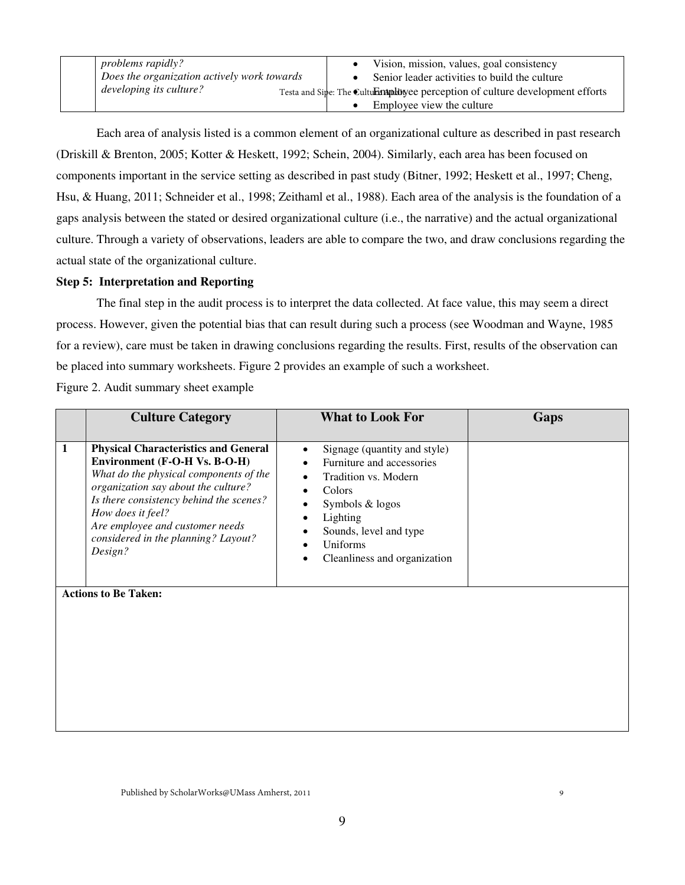| <i>problems rapidly?</i>                    | • Vision, mission, values, goal consistency                                     |
|---------------------------------------------|---------------------------------------------------------------------------------|
| Does the organization actively work towards | Senior leader activities to build the culture                                   |
| developing its culture?                     | Testa and Sipe: The Culture maplingee perception of culture development efforts |
|                                             | Employee view the culture                                                       |

 Each area of analysis listed is a common element of an organizational culture as described in past research (Driskill & Brenton, 2005; Kotter & Heskett, 1992; Schein, 2004). Similarly, each area has been focused on components important in the service setting as described in past study (Bitner, 1992; Heskett et al., 1997; Cheng, Hsu, & Huang, 2011; Schneider et al., 1998; Zeithaml et al., 1988). Each area of the analysis is the foundation of a gaps analysis between the stated or desired organizational culture (i.e., the narrative) and the actual organizational culture. Through a variety of observations, leaders are able to compare the two, and draw conclusions regarding the actual state of the organizational culture.

#### **Step 5: Interpretation and Reporting**

 The final step in the audit process is to interpret the data collected. At face value, this may seem a direct process. However, given the potential bias that can result during such a process (see Woodman and Wayne, 1985 for a review), care must be taken in drawing conclusions regarding the results. First, results of the observation can be placed into summary worksheets. Figure 2 provides an example of such a worksheet.

Figure 2. Audit summary sheet example

|              | <b>Culture Category</b>                                                                                                                                                                                                                                                                                            | <b>What to Look For</b>                                                                                                                                                                                                                              | Gaps |
|--------------|--------------------------------------------------------------------------------------------------------------------------------------------------------------------------------------------------------------------------------------------------------------------------------------------------------------------|------------------------------------------------------------------------------------------------------------------------------------------------------------------------------------------------------------------------------------------------------|------|
| $\mathbf{1}$ | <b>Physical Characteristics and General</b><br>Environment (F-O-H Vs. B-O-H)<br>What do the physical components of the<br>organization say about the culture?<br>Is there consistency behind the scenes?<br>How does it feel?<br>Are employee and customer needs<br>considered in the planning? Layout?<br>Design? | Signage (quantity and style)<br>$\bullet$<br>Furniture and accessories<br>Tradition vs. Modern<br>Colors<br>$\bullet$<br>Symbols & logos<br>Lighting<br>Sounds, level and type<br>Uniforms<br>$\bullet$<br>Cleanliness and organization<br>$\bullet$ |      |
|              | <b>Actions to Be Taken:</b>                                                                                                                                                                                                                                                                                        |                                                                                                                                                                                                                                                      |      |

9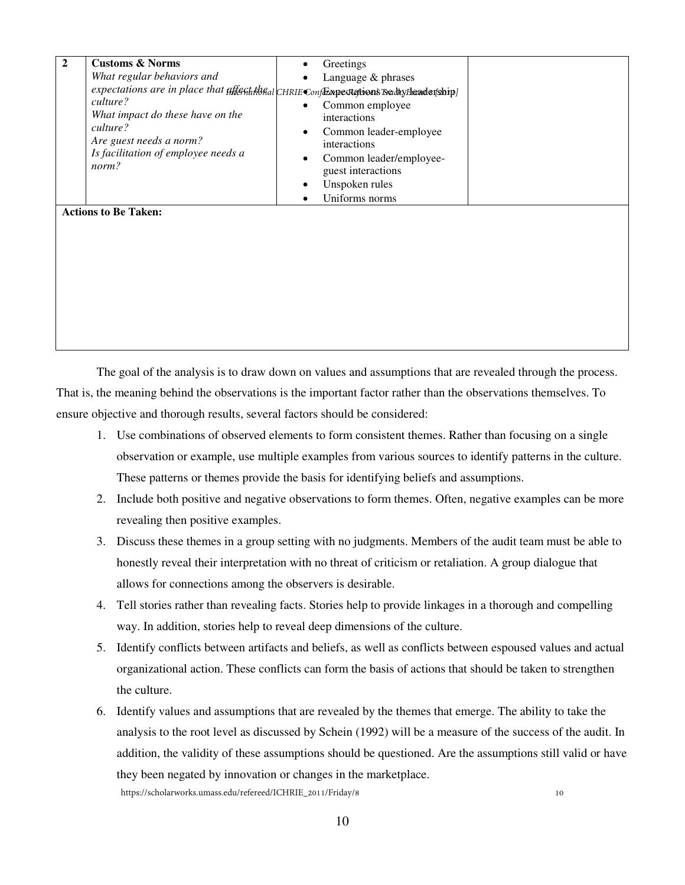| $\mathbf{2}$ | <b>Customs &amp; Norms</b><br>What regular behaviors and<br>expectations are in place that affectifistical CHRIE Conflix pectations reday headership]<br>culture?<br>What impact do these have on the<br>culture?<br>Are guest needs a norm?<br>Is facilitation of employee needs a<br>norm? | Greetings<br>$\bullet$<br>Language $&$ phrases<br>Common employee<br>interactions<br>Common leader-employee<br>٠<br>interactions<br>Common leader/employee-<br>٠<br>guest interactions<br>Unspoken rules |  |
|--------------|----------------------------------------------------------------------------------------------------------------------------------------------------------------------------------------------------------------------------------------------------------------------------------------------|----------------------------------------------------------------------------------------------------------------------------------------------------------------------------------------------------------|--|
|              | <b>Actions to Be Taken:</b>                                                                                                                                                                                                                                                                  | Uniforms norms                                                                                                                                                                                           |  |

The goal of the analysis is to draw down on values and assumptions that are revealed through the process. That is, the meaning behind the observations is the important factor rather than the observations themselves. To ensure objective and thorough results, several factors should be considered:

- 1. Use combinations of observed elements to form consistent themes. Rather than focusing on a single observation or example, use multiple examples from various sources to identify patterns in the culture. These patterns or themes provide the basis for identifying beliefs and assumptions.
- 2. Include both positive and negative observations to form themes. Often, negative examples can be more revealing then positive examples.
- 3. Discuss these themes in a group setting with no judgments. Members of the audit team must be able to honestly reveal their interpretation with no threat of criticism or retaliation. A group dialogue that allows for connections among the observers is desirable.
- 4. Tell stories rather than revealing facts. Stories help to provide linkages in a thorough and compelling way. In addition, stories help to reveal deep dimensions of the culture.
- 5. Identify conflicts between artifacts and beliefs, as well as conflicts between espoused values and actual organizational action. These conflicts can form the basis of actions that should be taken to strengthen the culture.
- 6. Identify values and assumptions that are revealed by the themes that emerge. The ability to take the analysis to the root level as discussed by Schein (1992) will be a measure of the success of the audit. In addition, the validity of these assumptions should be questioned. Are the assumptions still valid or have they been negated by innovation or changes in the marketplace. 10 https://scholarworks.umass.edu/refereed/ICHRIE\_2011/Friday/8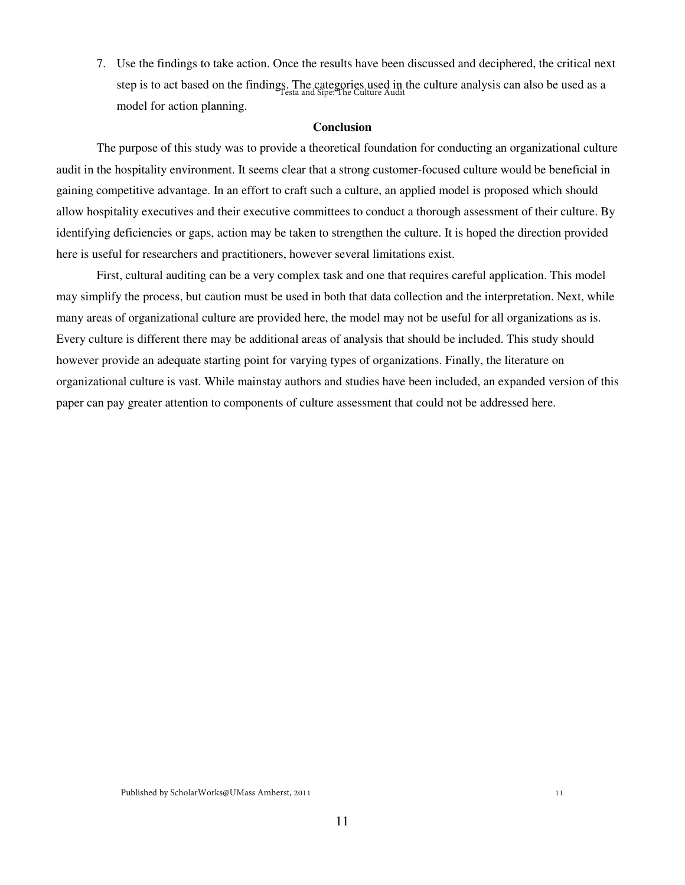7. Use the findings to take action. Once the results have been discussed and deciphered, the critical next step is to act based on the findings. The categories used in the culture analysis can also be used as a Testa and Sipe: The Culture Audit model for action planning.

#### **Conclusion**

 The purpose of this study was to provide a theoretical foundation for conducting an organizational culture audit in the hospitality environment. It seems clear that a strong customer-focused culture would be beneficial in gaining competitive advantage. In an effort to craft such a culture, an applied model is proposed which should allow hospitality executives and their executive committees to conduct a thorough assessment of their culture. By identifying deficiencies or gaps, action may be taken to strengthen the culture. It is hoped the direction provided here is useful for researchers and practitioners, however several limitations exist.

 First, cultural auditing can be a very complex task and one that requires careful application. This model may simplify the process, but caution must be used in both that data collection and the interpretation. Next, while many areas of organizational culture are provided here, the model may not be useful for all organizations as is. Every culture is different there may be additional areas of analysis that should be included. This study should however provide an adequate starting point for varying types of organizations. Finally, the literature on organizational culture is vast. While mainstay authors and studies have been included, an expanded version of this paper can pay greater attention to components of culture assessment that could not be addressed here.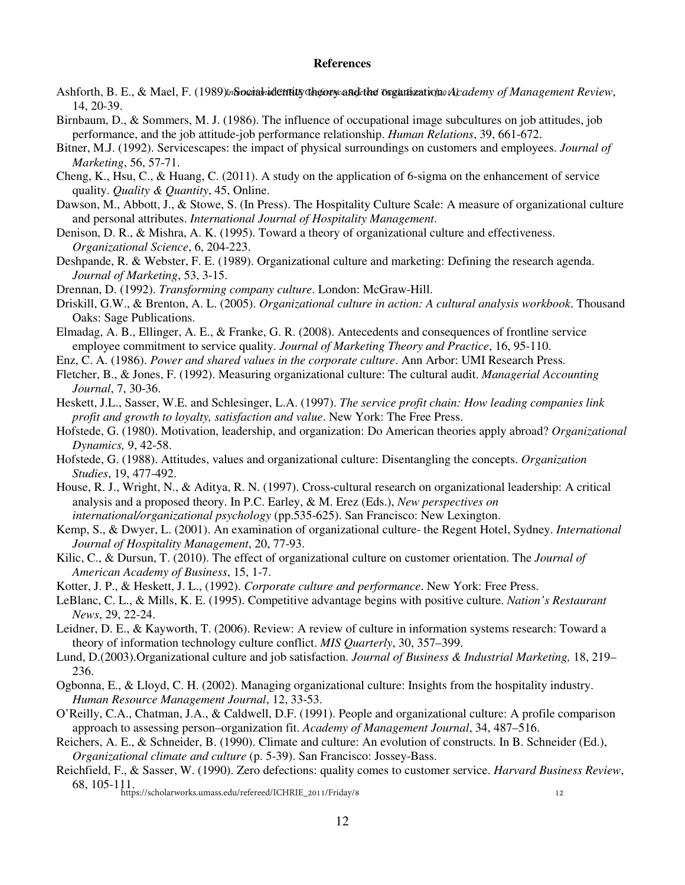#### **References**

- Ashforth, B. E., & Mael, F. (1989)*inSocialnidentity* dhgory and the organization of *Lademy of Management Review*, 14, 20-39.
- Birnbaum, D., & Sommers, M. J. (1986). The influence of occupational image subcultures on job attitudes, job performance, and the job attitude-job performance relationship. *Human Relations*, 39, 661-672.
- Bitner, M.J. (1992). Servicescapes: the impact of physical surroundings on customers and employees. *Journal of Marketing*, 56, 57-71.
- Cheng, K., Hsu, C., & Huang, C. (2011). A study on the application of 6-sigma on the enhancement of service quality. *Quality & Quantity*, 45, Online.
- Dawson, M., Abbott, J., & Stowe, S. (In Press). The Hospitality Culture Scale: A measure of organizational culture and personal attributes. *International Journal of Hospitality Management*.
- Denison, D. R., & Mishra, A. K. (1995). Toward a theory of organizational culture and effectiveness. *Organizational Science*, 6, 204-223.
- Deshpande, R. & Webster, F. E. (1989). Organizational culture and marketing: Defining the research agenda. *Journal of Marketing*, 53, 3-15.
- Drennan, D. (1992). *Transforming company culture*. London: McGraw-Hill.
- Driskill, G.W., & Brenton, A. L. (2005). *Organizational culture in action: A cultural analysis workbook*. Thousand Oaks: Sage Publications.
- Elmadag, A. B., Ellinger, A. E., & Franke, G. R. (2008). Antecedents and consequences of frontline service employee commitment to service quality. *Journal of Marketing Theory and Practice*, 16, 95-110.
- Enz, C. A. (1986). *Power and shared values in the corporate culture*. Ann Arbor: UMI Research Press.
- Fletcher, B., & Jones, F. (1992). Measuring organizational culture: The cultural audit. *Managerial Accounting Journal*, 7, 30-36.
- Heskett, J.L., Sasser, W.E. and Schlesinger, L.A. (1997). *The service profit chain: How leading companies link profit and growth to loyalty, satisfaction and value*. New York: The Free Press.
- Hofstede, G. (1980). Motivation, leadership, and organization: Do American theories apply abroad? *Organizational Dynamics,* 9, 42-58.
- Hofstede, G. (1988). Attitudes, values and organizational culture: Disentangling the concepts. *Organization Studies*, 19, 477-492.
- House, R. J., Wright, N., & Aditya, R. N. (1997). Cross-cultural research on organizational leadership: A critical analysis and a proposed theory. In P.C. Earley, & M. Erez (Eds.), *New perspectives on international/organizational psychology* (pp.535-625). San Francisco: New Lexington.
- Kemp, S., & Dwyer, L. (2001). An examination of organizational culture- the Regent Hotel, Sydney. *International Journal of Hospitality Management*, 20, 77-93.
- Kilic, C., & Dursun, T. (2010). The effect of organizational culture on customer orientation. The *Journal of American Academy of Business*, 15, 1-7.
- Kotter, J. P., & Heskett, J. L., (1992). *Corporate culture and performance*. New York: Free Press.
- LeBlanc, C. L., & Mills, K. E. (1995). Competitive advantage begins with positive culture. *Nation's Restaurant News*, 29, 22-24.
- Leidner, D. E., & Kayworth, T. (2006). Review: A review of culture in information systems research: Toward a theory of information technology culture conflict. *MIS Quarterly*, 30, 357–399.
- Lund, D.(2003).Organizational culture and job satisfaction. *Journal of Business & Industrial Marketing,* 18, 219– 236.
- Ogbonna, E., & Lloyd, C. H. (2002). Managing organizational culture: Insights from the hospitality industry. *Human Resource Management Journal*, 12, 33-53.
- O'Reilly, C.A., Chatman, J.A., & Caldwell, D.F. (1991). People and organizational culture: A profile comparison approach to assessing person–organization fit. *Academy of Management Journal*, 34, 487–516.
- Reichers, A. E., & Schneider, B. (1990). Climate and culture: An evolution of constructs. In B. Schneider (Ed.), *Organizational climate and culture* (p. 5-39). San Francisco: Jossey-Bass.
- Reichfield, F., & Sasser, W. (1990). Zero defections: quality comes to customer service. *Harvard Business Review*, 68, 105-111. https://scholarworks.umass.edu/refereed/ICHRIE\_2011/Friday/812